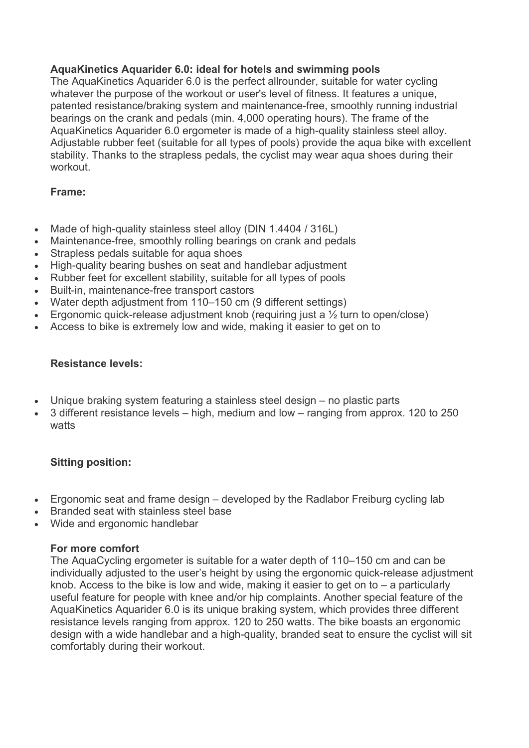## **AquaKinetics Aquarider 6.0: ideal for hotels and swimming pools**

The AquaKinetics Aquarider 6.0 is the perfect allrounder, suitable for water cycling whatever the purpose of the workout or user's level of fitness. It features a unique, patented resistance/braking system and maintenance-free, smoothly running industrial bearings on the crank and pedals (min. 4,000 operating hours). The frame of the AquaKinetics Aquarider 6.0 ergometer is made of a high-quality stainless steel alloy. Adjustable rubber feet (suitable for all types of pools) provide the aqua bike with excellent stability. Thanks to the strapless pedals, the cyclist may wear aqua shoes during their workout.

# **Frame:**

- Made of high-quality stainless steel alloy (DIN 1.4404 / 316L)
- Maintenance-free, smoothly rolling bearings on crank and pedals
- Strapless pedals suitable for aqua shoes
- High-quality bearing bushes on seat and handlebar adjustment
- Rubber feet for excellent stability, suitable for all types of pools
- Built-in, maintenance-free transport castors
- Water depth adjustment from 110–150 cm (9 different settings)
- Ergonomic quick-release adjustment knob (requiring just a  $\frac{1}{2}$  turn to open/close)
- Access to bike is extremely low and wide, making it easier to get on to

## **Resistance levels:**

- Unique braking system featuring a stainless steel design no plastic parts
- 3 different resistance levels high, medium and low ranging from approx. 120 to 250 watts

## **Sitting position:**

- Ergonomic seat and frame design developed by the Radlabor Freiburg cycling lab
- Branded seat with stainless steel base
- Wide and ergonomic handlebar

## **For more comfort**

The AquaCycling ergometer is suitable for a water depth of 110–150 cm and can be individually adjusted to the user's height by using the ergonomic quick-release adjustment knob. Access to the bike is low and wide, making it easier to get on to – a particularly useful feature for people with knee and/or hip complaints. Another special feature of the AquaKinetics Aquarider 6.0 is its unique braking system, which provides three different resistance levels ranging from approx. 120 to 250 watts. The bike boasts an ergonomic design with a wide handlebar and a high-quality, branded seat to ensure the cyclist will sit comfortably during their workout.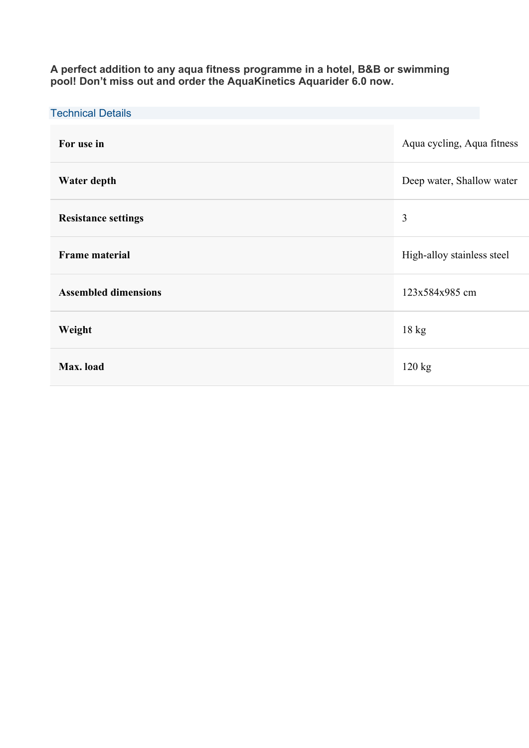**A perfect addition to any aqua fitness programme in a hotel, B&B or swimming pool! Don't miss out and order the AquaKinetics Aquarider 6.0 now.**

| <b>Technical Details</b>    |                            |
|-----------------------------|----------------------------|
| For use in                  | Aqua cycling, Aqua fitness |
| Water depth                 | Deep water, Shallow water  |
| <b>Resistance settings</b>  | 3                          |
| <b>Frame material</b>       | High-alloy stainless steel |
| <b>Assembled dimensions</b> | 123x584x985 cm             |
| Weight                      | 18 kg                      |
| Max. load                   | $120 \text{ kg}$           |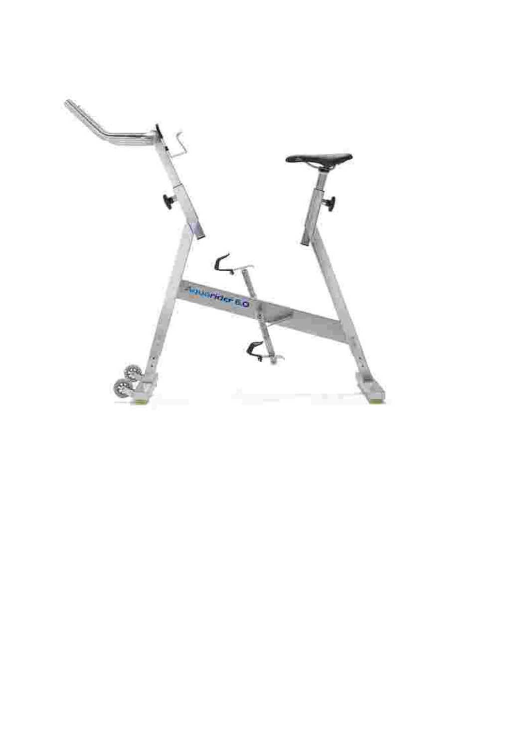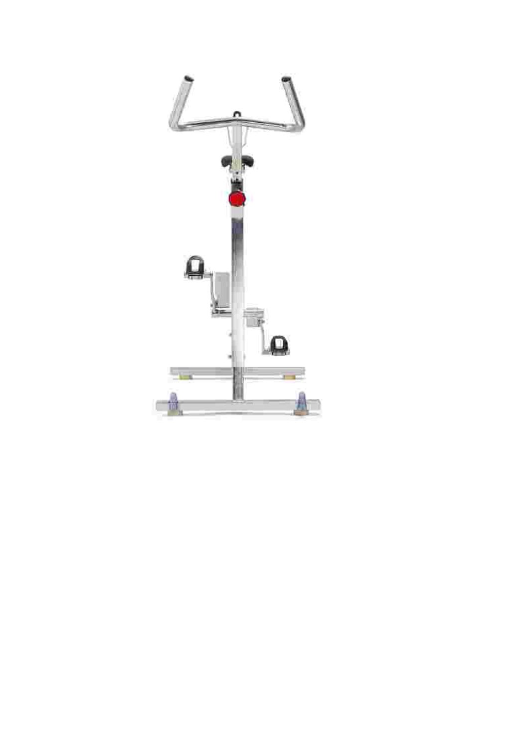